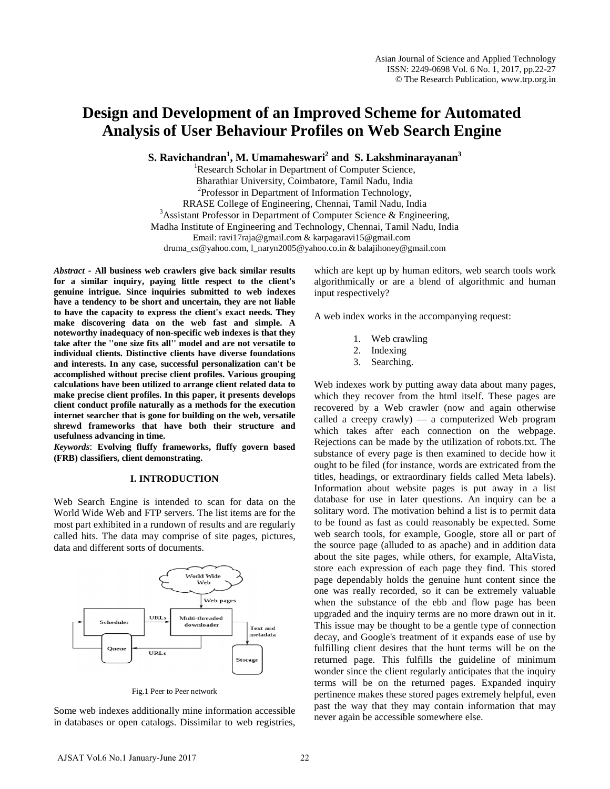# **Design and Development of an Improved Scheme for Automated Analysis of User Behaviour Profiles on Web Search Engine**

**S. Ravichandran<sup>1</sup>, M. Umamaheswari<sup>2</sup> and S. Lakshminarayanan<sup>3</sup><br>
<sup>1</sup> Research Scholar in Department of Computer Science** 

<sup>1</sup>Research Scholar in Department of Computer Science, Bharathiar University, Coimbatore, Tamil Nadu, India <sup>2</sup>  $^{2}$ Professor in Department of Information Technology, RRASE College of Engineering, Chennai, Tamil Nadu, India <sup>3</sup>  $3$ Assistant Professor in Department of Computer Science & Engineering, Madha Institute of Engineering and Technology, Chennai, Tamil Nadu, India Email: [ravi17raja@gmail.com](mailto:ravi17raja@gmail.com) [& karpagaravi15@gmail.com](mailto:karpagaravi15@gmail.com) [druma\\_cs@yahoo.com,](mailto:druma_cs@yahoo.com) [l\\_naryn2005@yahoo.co.in](mailto:l_naryn2005@yahoo.co.in) [& balajihoney@gmail.com](mailto:balajihoney@gmail.com) 

*Abstract* **- All business web crawlers give back similar results for a similar inquiry, paying little respect to the client's genuine intrigue. Since inquiries submitted to web indexes have a tendency to be short and uncertain, they are not liable to have the capacity to express the client's exact needs. They make discovering data on the web fast and simple. A noteworthy inadequacy of non-specific web indexes is that they take after the ''one size fits all'' model and are not versatile to individual clients. Distinctive clients have diverse foundations and interests. In any case, successful personalization can't be accomplished without precise client profiles. Various grouping calculations have been utilized to arrange client related data to make precise client profiles. In this paper, it presents develops client conduct profile naturally as a methods for the execution internet searcher that is gone for building on the web, versatile shrewd frameworks that have both their structure and usefulness advancing in time.** 

*Keywords*: **Evolving fluffy frameworks, fluffy govern based (FRB) classifiers, client demonstrating.**

#### **I. INTRODUCTION**

Web Search Engine is intended to scan for data on the World Wide Web and FTP servers. The list items are for the most part exhibited in a rundown of results and are regularly called hits. The data may comprise of site pages, pictures, data and different sorts of documents.



Fig.1 Peer to Peer network

Some web indexes additionally mine information accessible in databases or open catalogs. Dissimilar to web registries,

which are kept up by human editors, web search tools work algorithmically or are a blend of algorithmic and human input respectively?

A web index works in the accompanying request:

- 1. Web crawling
- 2. Indexing
- 3. Searching.

Web indexes work by putting away data about many pages, which they recover from the html itself. These pages are recovered by a Web crawler (now and again otherwise called a creepy crawly) — a computerized Web program which takes after each connection on the webpage. Rejections can be made by the utilization of robots.txt. The substance of every page is then examined to decide how it ought to be filed (for instance, words are extricated from the titles, headings, or extraordinary fields called Meta labels). Information about website pages is put away in a list database for use in later questions. An inquiry can be a solitary word. The motivation behind a list is to permit data to be found as fast as could reasonably be expected. Some web search tools, for example, Google, store all or part of the source page (alluded to as apache) and in addition data about the site pages, while others, for example, AltaVista, store each expression of each page they find. This stored page dependably holds the genuine hunt content since the one was really recorded, so it can be extremely valuable when the substance of the ebb and flow page has been upgraded and the inquiry terms are no more drawn out in it. This issue may be thought to be a gentle type of connection decay, and Google's treatment of it expands ease of use by fulfilling client desires that the hunt terms will be on the returned page. This fulfills the guideline of minimum wonder since the client regularly anticipates that the inquiry terms will be on the returned pages. Expanded inquiry pertinence makes these stored pages extremely helpful, even past the way that they may contain information that may never again be accessible somewhere else.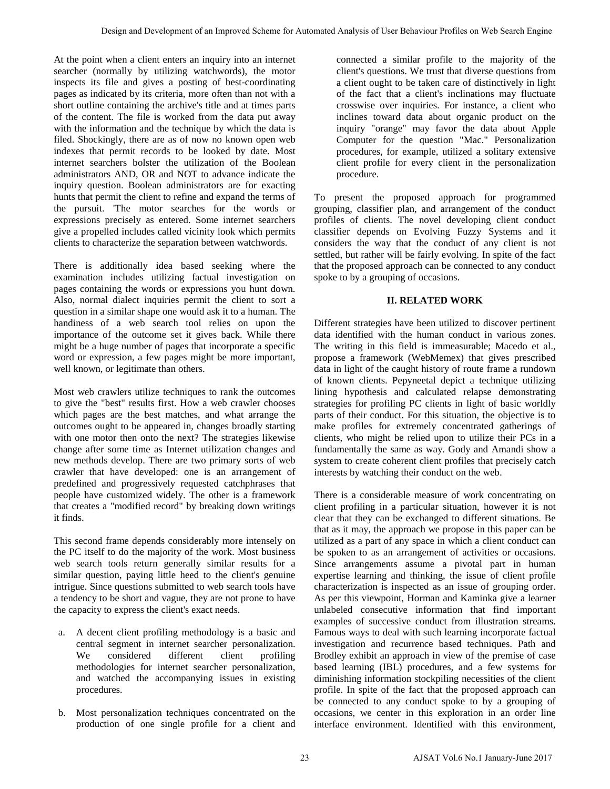At the point when a client enters an inquiry into an internet searcher (normally by utilizing watchwords), the motor inspects its file and gives a posting of best-coordinating pages as indicated by its criteria, more often than not with a short outline containing the archive's title and at times parts of the content. The file is worked from the data put away with the information and the technique by which the data is filed. Shockingly, there are as of now no known open web indexes that permit records to be looked by date. Most internet searchers bolster the utilization of the Boolean administrators AND, OR and NOT to advance indicate the inquiry question. Boolean administrators are for exacting hunts that permit the client to refine and expand the terms of the pursuit. 'The motor searches for the words or expressions precisely as entered. Some internet searchers give a propelled includes called vicinity look which permits clients to characterize the separation between watchwords.

There is additionally idea based seeking where the examination includes utilizing factual investigation on pages containing the words or expressions you hunt down. Also, normal dialect inquiries permit the client to sort a question in a similar shape one would ask it to a human. The handiness of a web search tool relies on upon the importance of the outcome set it gives back. While there might be a huge number of pages that incorporate a specific word or expression, a few pages might be more important, well known, or legitimate than others.

Most web crawlers utilize techniques to rank the outcomes to give the "best" results first. How a web crawler chooses which pages are the best matches, and what arrange the outcomes ought to be appeared in, changes broadly starting with one motor then onto the next? The strategies likewise change after some time as Internet utilization changes and new methods develop. There are two primary sorts of web crawler that have developed: one is an arrangement of predefined and progressively requested catchphrases that people have customized widely. The other is a framework that creates a "modified record" by breaking down writings it finds.

This second frame depends considerably more intensely on the PC itself to do the majority of the work. Most business web search tools return generally similar results for a similar question, paying little heed to the client's genuine intrigue. Since questions submitted to web search tools have a tendency to be short and vague, they are not prone to have the capacity to express the client's exact needs.

- a. A decent client profiling methodology is a basic and central segment in internet searcher personalization. We considered different client profiling methodologies for internet searcher personalization, and watched the accompanying issues in existing procedures.
- b. Most personalization techniques concentrated on the production of one single profile for a client and

connected a similar profile to the majority of the client's questions. We trust that diverse questions from a client ought to be taken care of distinctively in light of the fact that a client's inclinations may fluctuate crosswise over inquiries. For instance, a client who inclines toward data about organic product on the inquiry "orange" may favor the data about Apple Computer for the question "Mac." Personalization procedures, for example, utilized a solitary extensive client profile for every client in the personalization procedure.

To present the proposed approach for programmed grouping, classifier plan, and arrangement of the conduct profiles of clients. The novel developing client conduct classifier depends on Evolving Fuzzy Systems and it considers the way that the conduct of any client is not settled, but rather will be fairly evolving. In spite of the fact that the proposed approach can be connected to any conduct spoke to by a grouping of occasions.

# **II. RELATED WORK**

Different strategies have been utilized to discover pertinent data identified with the human conduct in various zones. The writing in this field is immeasurable; Macedo et al., propose a framework (WebMemex) that gives prescribed data in light of the caught history of route frame a rundown of known clients. Pepyneetal depict a technique utilizing lining hypothesis and calculated relapse demonstrating strategies for profiling PC clients in light of basic worldly parts of their conduct. For this situation, the objective is to make profiles for extremely concentrated gatherings of clients, who might be relied upon to utilize their PCs in a fundamentally the same as way. Gody and Amandi show a system to create coherent client profiles that precisely catch interests by watching their conduct on the web.

There is a considerable measure of work concentrating on client profiling in a particular situation, however it is not clear that they can be exchanged to different situations. Be that as it may, the approach we propose in this paper can be utilized as a part of any space in which a client conduct can be spoken to as an arrangement of activities or occasions. Since arrangements assume a pivotal part in human expertise learning and thinking, the issue of client profile characterization is inspected as an issue of grouping order. As per this viewpoint, Horman and Kaminka give a learner unlabeled consecutive information that find important examples of successive conduct from illustration streams. Famous ways to deal with such learning incorporate factual investigation and recurrence based techniques. Path and Brodley exhibit an approach in view of the premise of case based learning (IBL) procedures, and a few systems for diminishing information stockpiling necessities of the client profile. In spite of the fact that the proposed approach can be connected to any conduct spoke to by a grouping of occasions, we center in this exploration in an order line interface environment. Identified with this environment, Every nichlession of a between the distinguistic on the distinguistic of the behaviour profiles of a single pair of a between the single pair of a between the single pair of a matter of a between the single pair of a matt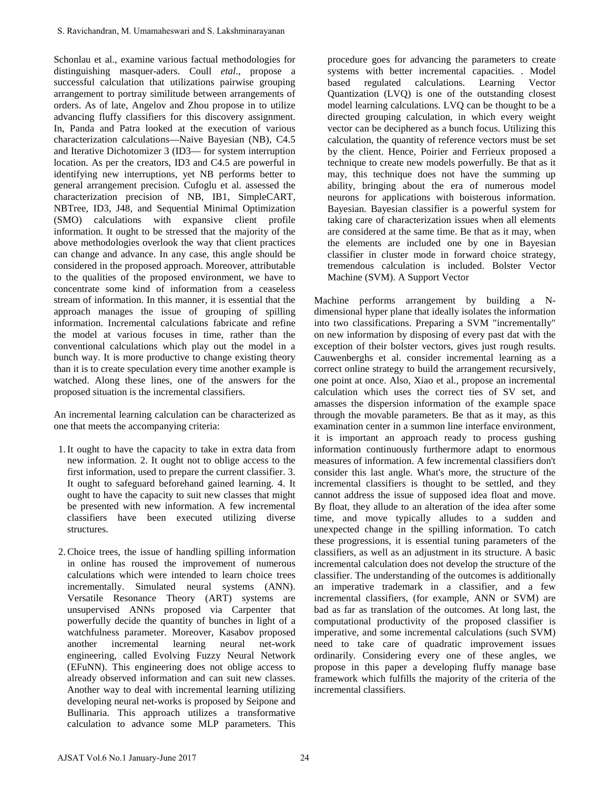Schonlau et al., examine various factual methodologies for distinguishing masquer-aders. Coull *etal*., propose a successful calculation that utilizations pairwise grouping arrangement to portray similitude between arrangements of orders. As of late, Angelov and Zhou propose in to utilize advancing fluffy classifiers for this discovery assignment. In, Panda and Patra looked at the execution of various characterization calculations—Naive Bayesian (NB), C4.5 and Iterative Dichotomizer 3 (ID3— for system interruption location. As per the creators, ID3 and C4.5 are powerful in identifying new interruptions, yet NB performs better to general arrangement precision. Cufoglu et al. assessed the characterization precision of NB, IB1, SimpleCART, NBTree, ID3, J48, and Sequential Minimal Optimization (SMO) calculations with expansive client profile information. It ought to be stressed that the majority of the above methodologies overlook the way that client practices can change and advance. In any case, this angle should be considered in the proposed approach. Moreover, attributable to the qualities of the proposed environment, we have to concentrate some kind of information from a ceaseless stream of information. In this manner, it is essential that the approach manages the issue of grouping of spilling information. Incremental calculations fabricate and refine the model at various focuses in time, rather than the conventional calculations which play out the model in a bunch way. It is more productive to change existing theory than it is to create speculation every time another example is watched. Along these lines, one of the answers for the proposed situation is the incremental classifiers. S. Ravichandran, M. Umamaheswari and S. Lakshminarayanan<br>
checholata et al., examine various factual methodologies for<br>
checholata et al., examine various factual methodologies for<br>
their distribution that tuilizations pai

An incremental learning calculation can be characterized as one that meets the accompanying criteria:

- 1.It ought to have the capacity to take in extra data from new information. 2. It ought not to oblige access to the first information, used to prepare the current classifier. 3. It ought to safeguard beforehand gained learning. 4. It ought to have the capacity to suit new classes that might be presented with new information. A few incremental classifiers have been executed utilizing diverse structures.
- 2.Choice trees, the issue of handling spilling information in online has roused the improvement of numerous calculations which were intended to learn choice trees incrementally. Simulated neural systems (ANN). Versatile Resonance Theory (ART) systems are unsupervised ANNs proposed via Carpenter that powerfully decide the quantity of bunches in light of a watchfulness parameter. Moreover, Kasabov proposed another incremental learning neural net-work engineering, called Evolving Fuzzy Neural Network (EFuNN). This engineering does not oblige access to already observed information and can suit new classes. Another way to deal with incremental learning utilizing developing neural net-works is proposed by Seipone and Bullinaria. This approach utilizes a transformative calculation to advance some MLP parameters. This

procedure goes for advancing the parameters to create systems with better incremental capacities. . Model based regulated calculations. Learning Vector Quantization (LVQ) is one of the outstanding closest model learning calculations. LVQ can be thought to be a directed grouping calculation, in which every weight vector can be deciphered as a bunch focus. Utilizing this calculation, the quantity of reference vectors must be set by the client. Hence, Poirier and Ferrieux proposed a technique to create new models powerfully. Be that as it may, this technique does not have the summing up ability, bringing about the era of numerous model neurons for applications with boisterous information. Bayesian. Bayesian classifier is a powerful system for taking care of characterization issues when all elements are considered at the same time. Be that as it may, when the elements are included one by one in Bayesian classifier in cluster mode in forward choice strategy, tremendous calculation is included. Bolster Vector Machine (SVM). A Support Vector

Machine performs arrangement by building a Ndimensional hyper plane that ideally isolates the information into two classifications. Preparing a SVM "incrementally" on new information by disposing of every past dat with the exception of their bolster vectors, gives just rough results. Cauwenberghs et al. consider incremental learning as a correct online strategy to build the arrangement recursively, one point at once. Also, Xiao et al., propose an incremental calculation which uses the correct ties of SV set, and amasses the dispersion information of the example space through the movable parameters. Be that as it may, as this examination center in a summon line interface environment, it is important an approach ready to process gushing information continuously furthermore adapt to enormous measures of information. A few incremental classifiers don't consider this last angle. What's more, the structure of the incremental classifiers is thought to be settled, and they cannot address the issue of supposed idea float and move. By float, they allude to an alteration of the idea after some time, and move typically alludes to a sudden and unexpected change in the spilling information. To catch these progressions, it is essential tuning parameters of the classifiers, as well as an adjustment in its structure. A basic incremental calculation does not develop the structure of the classifier. The understanding of the outcomes is additionally an imperative trademark in a classifier, and a few incremental classifiers, (for example, ANN or SVM) are bad as far as translation of the outcomes. At long last, the computational productivity of the proposed classifier is imperative, and some incremental calculations (such SVM) need to take care of quadratic improvement issues ordinarily. Considering every one of these angles, we propose in this paper a developing fluffy manage base framework which fulfills the majority of the criteria of the incremental classifiers.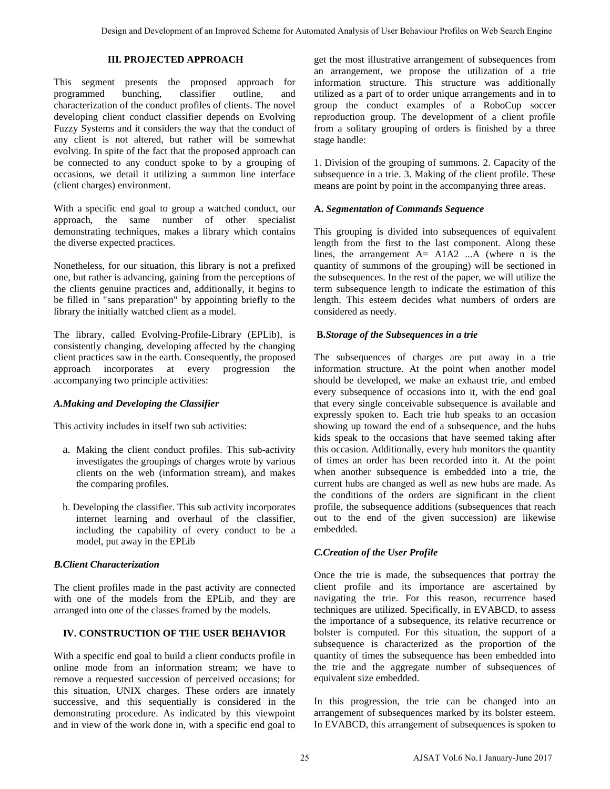## **III. PROJECTED APPROACH**

This segment presents the proposed approach for programmed bunching, classifier outline, and characterization of the conduct profiles of clients. The novel developing client conduct classifier depends on Evolving Fuzzy Systems and it considers the way that the conduct of any client is not altered, but rather will be somewhat evolving. In spite of the fact that the proposed approach can be connected to any conduct spoke to by a grouping of occasions, we detail it utilizing a summon line interface (client charges) environment.

With a specific end goal to group a watched conduct, our approach, the same number of other specialist demonstrating techniques, makes a library which contains the diverse expected practices.

Nonetheless, for our situation, this library is not a prefixed one, but rather is advancing, gaining from the perceptions of the clients genuine practices and, additionally, it begins to be filled in "sans preparation" by appointing briefly to the library the initially watched client as a model.

The library, called Evolving-Profile-Library (EPLib), is consistently changing, developing affected by the changing client practices saw in the earth. Consequently, the proposed approach incorporates at every progression the accompanying two principle activities:

# *A.Making and Developing the Classifier*

This activity includes in itself two sub activities:

- a. Making the client conduct profiles. This sub-activity investigates the groupings of charges wrote by various clients on the web (information stream), and makes the comparing profiles.
- b. Developing the classifier. This sub activity incorporates internet learning and overhaul of the classifier, including the capability of every conduct to be a model, put away in the EPLib

# *B.Client Characterization*

The client profiles made in the past activity are connected with one of the models from the EPLib, and they are arranged into one of the classes framed by the models.

# **IV. CONSTRUCTION OF THE USER BEHAVIOR**

With a specific end goal to build a client conducts profile in online mode from an information stream; we have to remove a requested succession of perceived occasions; for this situation, UNIX charges. These orders are innately successive, and this sequentially is considered in the demonstrating procedure. As indicated by this viewpoint and in view of the work done in, with a specific end goal to get the most illustrative arrangement of subsequences from an arrangement, we propose the utilization of a trie information structure. This structure was additionally utilized as a part of to order unique arrangements and in to group the conduct examples of a RoboCup soccer reproduction group. The development of a client profile from a solitary grouping of orders is finished by a three stage handle:

1. Division of the grouping of summons. 2. Capacity of the subsequence in a trie. 3. Making of the client profile. These means are point by point in the accompanying three areas.

## **A.** *Segmentation of Commands Sequence*

This grouping is divided into subsequences of equivalent length from the first to the last component. Along these lines, the arrangement  $A = A1A2$  ... A (where n is the quantity of summons of the grouping) will be sectioned in the subsequences. In the rest of the paper, we will utilize the term subsequence length to indicate the estimation of this length. This esteem decides what numbers of orders are considered as needy.

## **B.***Storage of the Subsequences in a trie*

The subsequences of charges are put away in a trie information structure. At the point when another model should be developed, we make an exhaust trie, and embed every subsequence of occasions into it, with the end goal that every single conceivable subsequence is available and expressly spoken to. Each trie hub speaks to an occasion showing up toward the end of a subsequence, and the hubs kids speak to the occasions that have seemed taking after this occasion. Additionally, every hub monitors the quantity of times an order has been recorded into it. At the point when another subsequence is embedded into a trie, the current hubs are changed as well as new hubs are made. As the conditions of the orders are significant in the client profile, the subsequence additions (subsequences that reach out to the end of the given succession) are likewise embedded. Every include the log-room of the log-room is a single transition and the log-room include and the measures be presended and the measure of a single properties of an Improved Scheme for Automatics or Theorem is a single p

# *C.Creation of the User Profile*

Once the trie is made, the subsequences that portray the client profile and its importance are ascertained by navigating the trie. For this reason, recurrence based techniques are utilized. Specifically, in EVABCD, to assess the importance of a subsequence, its relative recurrence or bolster is computed. For this situation, the support of a subsequence is characterized as the proportion of the quantity of times the subsequence has been embedded into the trie and the aggregate number of subsequences of equivalent size embedded.

In this progression, the trie can be changed into an arrangement of subsequences marked by its bolster esteem. In EVABCD, this arrangement of subsequences is spoken to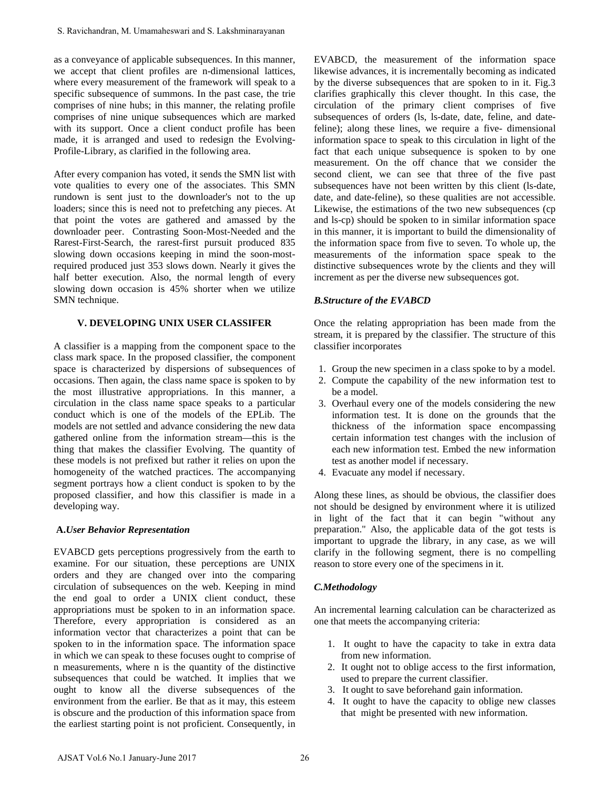as a conveyance of applicable subsequences. In this manner, we accept that client profiles are n-dimensional lattices, where every measurement of the framework will speak to a specific subsequence of summons. In the past case, the trie comprises of nine hubs; in this manner, the relating profile comprises of nine unique subsequences which are marked with its support. Once a client conduct profile has been made, it is arranged and used to redesign the Evolving-Profile-Library, as clarified in the following area.

After every companion has voted, it sends the SMN list with vote qualities to every one of the associates. This SMN rundown is sent just to the downloader's not to the up loaders; since this is need not to prefetching any pieces. At that point the votes are gathered and amassed by the downloader peer. Contrasting Soon-Most-Needed and the Rarest-First-Search, the rarest-first pursuit produced 835 slowing down occasions keeping in mind the soon-mostrequired produced just 353 slows down. Nearly it gives the half better execution. Also, the normal length of every slowing down occasion is 45% shorter when we utilize SMN technique.

# **V. DEVELOPING UNIX USER CLASSIFER**

A classifier is a mapping from the component space to the class mark space. In the proposed classifier, the component space is characterized by dispersions of subsequences of occasions. Then again, the class name space is spoken to by the most illustrative appropriations. In this manner, a circulation in the class name space speaks to a particular conduct which is one of the models of the EPLib. The models are not settled and advance considering the new data gathered online from the information stream—this is the thing that makes the classifier Evolving. The quantity of these models is not prefixed but rather it relies on upon the homogeneity of the watched practices. The accompanying segment portrays how a client conduct is spoken to by the proposed classifier, and how this classifier is made in a developing way.

#### **A.***User Behavior Representation*

EVABCD gets perceptions progressively from the earth to examine. For our situation, these perceptions are UNIX orders and they are changed over into the comparing circulation of subsequences on the web. Keeping in mind the end goal to order a UNIX client conduct, these appropriations must be spoken to in an information space. Therefore, every appropriation is considered as an information vector that characterizes a point that can be spoken to in the information space. The information space in which we can speak to these focuses ought to comprise of n measurements, where n is the quantity of the distinctive subsequences that could be watched. It implies that we ought to know all the diverse subsequences of the environment from the earlier. Be that as it may, this esteem is obscure and the production of this information space from the earliest starting point is not proficient. Consequently, in S. Ravielandran, M. Umamahesvari and S. Lakshminarayanan<br>
as a conveyance of applicable subsequences. In this manner,<br>
we accept the cloim profiles are n-dimensional lattices,<br>
the cerve measurement of the famewook will ag

EVABCD, the measurement of the information space likewise advances, it is incrementally becoming as indicated by the diverse subsequences that are spoken to in it. Fig.3 clarifies graphically this clever thought. In this case, the circulation of the primary client comprises of five subsequences of orders (ls, ls-date, date, feline, and datefeline); along these lines, we require a five- dimensional information space to speak to this circulation in light of the fact that each unique subsequence is spoken to by one measurement. On the off chance that we consider the second client, we can see that three of the five past subsequences have not been written by this client (ls-date, date, and date-feline), so these qualities are not accessible. Likewise, the estimations of the two new subsequences (cp and ls-cp) should be spoken to in similar information space in this manner, it is important to build the dimensionality of the information space from five to seven. To whole up, the measurements of the information space speak to the distinctive subsequences wrote by the clients and they will increment as per the diverse new subsequences got.

## *B.Structure of the EVABCD*

Once the relating appropriation has been made from the stream, it is prepared by the classifier. The structure of this classifier incorporates

- 1. Group the new specimen in a class spoke to by a model.
- 2. Compute the capability of the new information test to be a model.
- 3. Overhaul every one of the models considering the new information test. It is done on the grounds that the thickness of the information space encompassing certain information test changes with the inclusion of each new information test. Embed the new information test as another model if necessary.
- 4. Evacuate any model if necessary.

Along these lines, as should be obvious, the classifier does not should be designed by environment where it is utilized in light of the fact that it can begin "without any preparation." Also, the applicable data of the got tests is important to upgrade the library, in any case, as we will clarify in the following segment, there is no compelling reason to store every one of the specimens in it.

# *C.Methodology*

An incremental learning calculation can be characterized as one that meets the accompanying criteria:

- 1. It ought to have the capacity to take in extra data from new information.
- 2. It ought not to oblige access to the first information, used to prepare the current classifier.
- 3. It ought to save beforehand gain information.
- 4. It ought to have the capacity to oblige new classes that might be presented with new information.